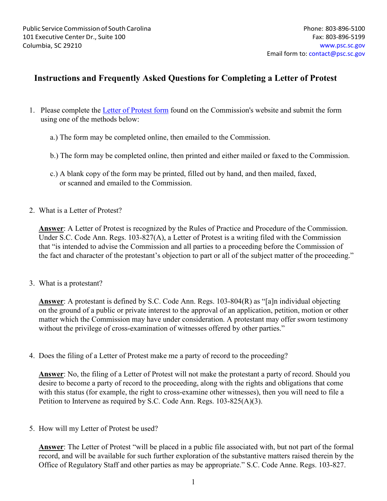## **Instructions and Frequently Asked Questions for Completing a Letter of Protest**

- 1. Please complete the [Letter of Protest form](https://psc.sc.gov/sites/default/files/Documents/Forms/Consumer/Adobe%20Pro%20-%20Letter_of_Protest_Form_pub_0001.pdf) found on the Commission's website and submit the form using one of the methods below:
	- a.) The form may be completed online, then emailed to the Commission.
	- b.) The form may be completed online, then printed and either mailed or faxed to the Commission.
	- c.) A blank copy of the form may be printed, filled out by hand, and then mailed, faxed, or scanned and emailed to the Commission.
- 2. What is a Letter of Protest?

**Answer**: A Letter of Protest is recognized by the Rules of Practice and Procedure of the Commission. Under S.C. Code Ann. Regs. 103-827(A), a Letter of Protest is a writing filed with the Commission that "is intended to advise the Commission and all parties to a proceeding before the Commission of the fact and character of the protestant's objection to part or all of the subject matter of the proceeding."

3. What is a protestant?

**Answer**: A protestant is defined by S.C. Code Ann. Regs. 103-804(R) as "[a]n individual objecting on the ground of a public or private interest to the approval of an application, petition, motion or other matter which the Commission may have under consideration. A protestant may offer sworn testimony without the privilege of cross-examination of witnesses offered by other parties."

4. Does the filing of a Letter of Protest make me a party of record to the proceeding?

**Answer**: No, the filing of a Letter of Protest will not make the protestant a party of record. Should you desire to become a party of record to the proceeding, along with the rights and obligations that come with this status (for example, the right to cross-examine other witnesses), then you will need to file a Petition to Intervene as required by S.C. Code Ann. Regs. 103-825(A)(3).

5. How will my Letter of Protest be used?

**Answer**: The Letter of Protest "will be placed in a public file associated with, but not part of the formal record, and will be available for such further exploration of the substantive matters raised therein by the Office of Regulatory Staff and other parties as may be appropriate." S.C. Code Anne. Regs. 103-827.